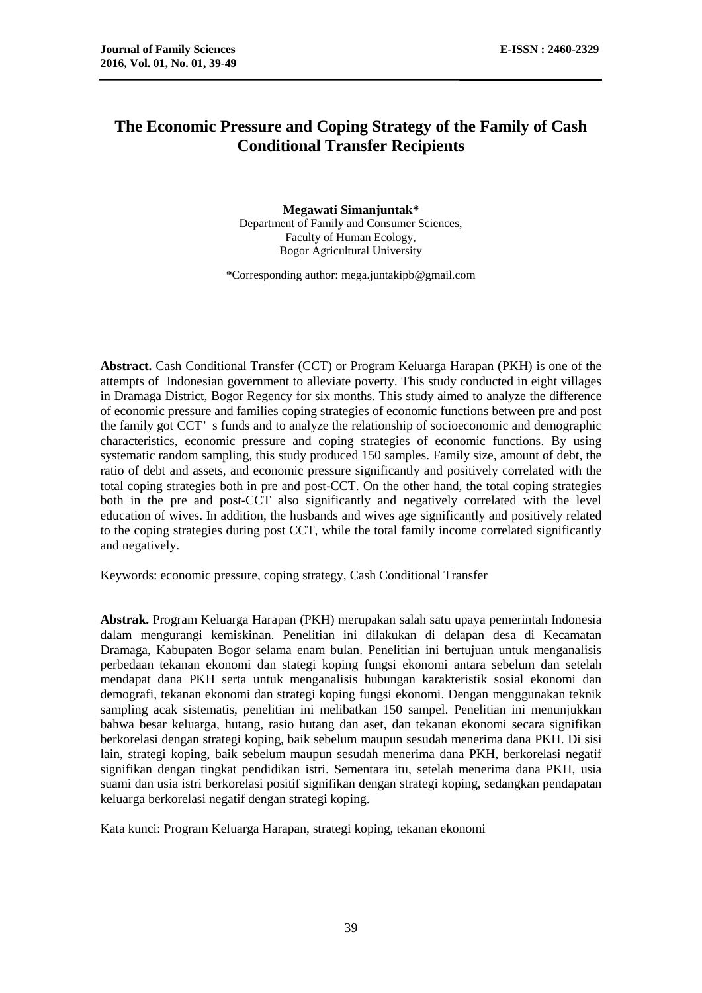# **The Economic Pressure and Coping Strategy of the Family of Cash Conditional Transfer Recipients**

**Megawati Simanjuntak\*** Department of Family and Consumer Sciences, Faculty of Human Ecology, Bogor Agricultural University

\*Corresponding author: mega.juntakipb@gmail.com

**Abstract.** Cash Conditional Transfer (CCT) or Program Keluarga Harapan (PKH) is one of the attempts of Indonesian government to alleviate poverty. This study conducted in eight villages in Dramaga District, Bogor Regency for six months. This study aimed to analyze the difference of economic pressure and families coping strategies of economic functions between pre and post the family got CCT' s funds and to analyze the relationship of socioeconomic and demographic characteristics, economic pressure and coping strategies of economic functions. By using systematic random sampling, this study produced 150 samples. Family size, amount of debt, the ratio of debt and assets, and economic pressure significantly and positively correlated with the total coping strategies both in pre and post-CCT. On the other hand, the total coping strategies both in the pre and post-CCT also significantly and negatively correlated with the level education of wives. In addition, the husbands and wives age significantly and positively related to the coping strategies during post CCT, while the total family income correlated significantly and negatively.

Keywords: economic pressure, coping strategy, Cash Conditional Transfer

**Abstrak.** Program Keluarga Harapan (PKH) merupakan salah satu upaya pemerintah Indonesia dalam mengurangi kemiskinan. Penelitian ini dilakukan di delapan desa di Kecamatan Dramaga, Kabupaten Bogor selama enam bulan. Penelitian ini bertujuan untuk menganalisis perbedaan tekanan ekonomi dan stategi koping fungsi ekonomi antara sebelum dan setelah mendapat dana PKH serta untuk menganalisis hubungan karakteristik sosial ekonomi dan demografi, tekanan ekonomi dan strategi koping fungsi ekonomi. Dengan menggunakan teknik sampling acak sistematis, penelitian ini melibatkan 150 sampel. Penelitian ini menunjukkan bahwa besar keluarga, hutang, rasio hutang dan aset, dan tekanan ekonomi secara signifikan berkorelasi dengan strategi koping, baik sebelum maupun sesudah menerima dana PKH. Di sisi lain, strategi koping, baik sebelum maupun sesudah menerima dana PKH, berkorelasi negatif signifikan dengan tingkat pendidikan istri. Sementara itu, setelah menerima dana PKH, usia suami dan usia istri berkorelasi positif signifikan dengan strategi koping, sedangkan pendapatan keluarga berkorelasi negatif dengan strategi koping.

Kata kunci: Program Keluarga Harapan, strategi koping, tekanan ekonomi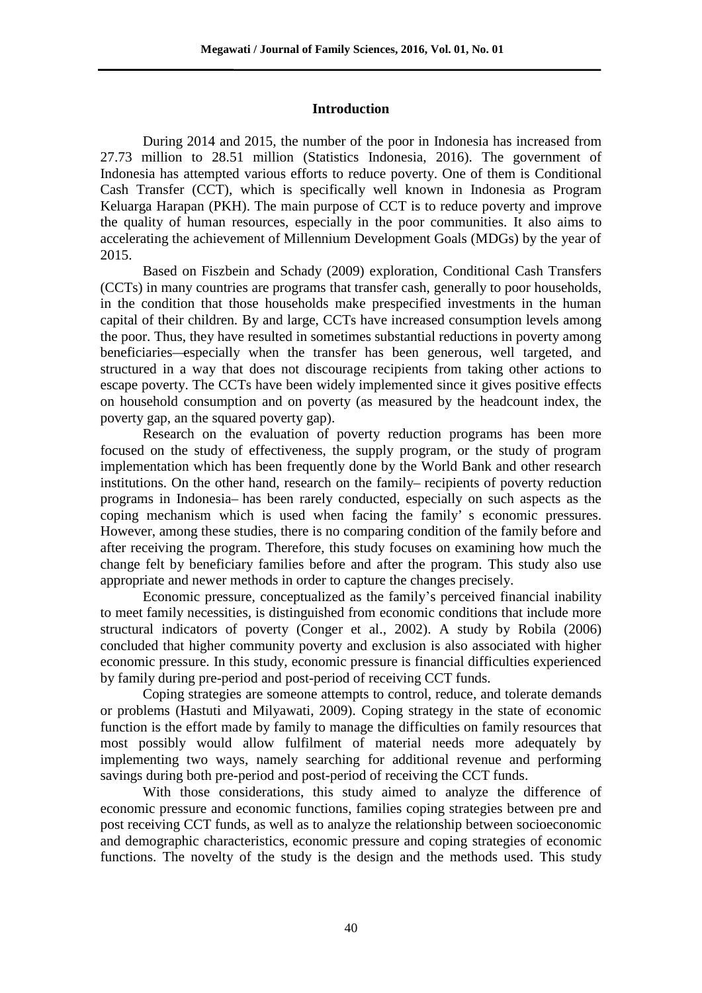# **Introduction**

During 2014 and 2015, the number of the poor in Indonesia has increased from 27.73 million to 28.51 million (Statistics Indonesia, 2016). The government of Indonesia has attempted various efforts to reduce poverty. One of them is Conditional Cash Transfer (CCT), which is specifically well known in Indonesia as Program Keluarga Harapan (PKH). The main purpose of CCT is to reduce poverty and improve the quality of human resources, especially in the poor communities. It also aims to accelerating the achievement of Millennium Development Goals (MDGs) by the year of 2015.

Based on Fiszbein and Schady (2009) exploration, Conditional Cash Transfers (CCTs) in many countries are programs that transfer cash, generally to poor households, in the condition that those households make prespecified investments in the human capital of their children. By and large, CCTs have increased consumption levels among the poor. Thus, they have resulted in sometimes substantial reductions in poverty among beneficiaries—especially when the transfer has been generous, well targeted, and structured in a way that does not discourage recipients from taking other actions to escape poverty. The CCTs have been widely implemented since it gives positive effects on household consumption and on poverty (as measured by the headcount index, the poverty gap, an the squared poverty gap).

Research on the evaluation of poverty reduction programs has been more focused on the study of effectiveness, the supply program, or the study of program implementation which has been frequently done by the World Bank and other research institutions. On the other hand, research on the family– recipients of poverty reduction programs in Indonesia– has been rarely conducted, especially on such aspects as the coping mechanism which is used when facing the family' s economic pressures. However, among these studies, there is no comparing condition of the family before and after receiving the program. Therefore, this study focuses on examining how much the change felt by beneficiary families before and after the program. This study also use appropriate and newer methods in order to capture the changes precisely.

Economic pressure, conceptualized as the family's perceived financial inability to meet family necessities, is distinguished from economic conditions that include more structural indicators of poverty (Conger et al., 2002). A study by Robila (2006) concluded that higher community poverty and exclusion is also associated with higher economic pressure. In this study, economic pressure is financial difficulties experienced by family during pre-period and post-period of receiving CCT funds.

Coping strategies are someone attempts to control, reduce, and tolerate demands or problems (Hastuti and Milyawati, 2009). Coping strategy in the state of economic function is the effort made by family to manage the difficulties on family resources that most possibly would allow fulfilment of material needs more adequately by implementing two ways, namely searching for additional revenue and performing savings during both pre-period and post-period of receiving the CCT funds.

With those considerations, this study aimed to analyze the difference of economic pressure and economic functions, families coping strategies between pre and post receiving CCT funds, as well as to analyze the relationship between socioeconomic and demographic characteristics, economic pressure and coping strategies of economic functions. The novelty of the study is the design and the methods used. This study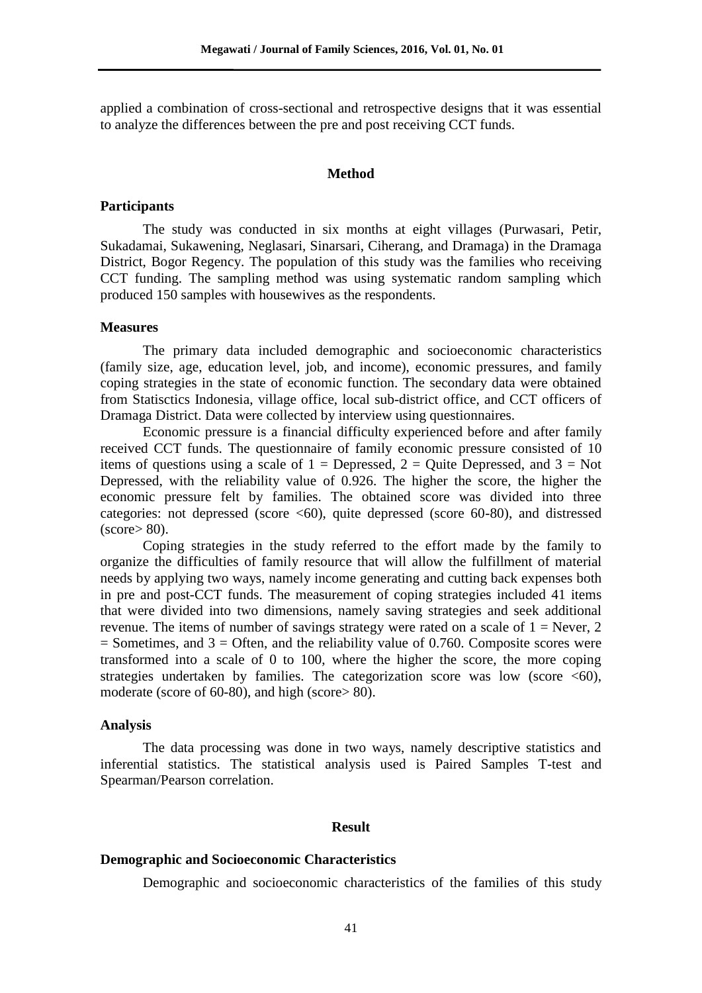applied a combination of cross-sectional and retrospective designs that it was essential to analyze the differences between the pre and post receiving CCT funds.

# **Method**

#### **Participants**

The study was conducted in six months at eight villages (Purwasari, Petir, Sukadamai, Sukawening, Neglasari, Sinarsari, Ciherang, and Dramaga) in the Dramaga District, Bogor Regency. The population of this study was the families who receiving CCT funding. The sampling method was using systematic random sampling which produced 150 samples with housewives as the respondents.

## **Measures**

The primary data included demographic and socioeconomic characteristics (family size, age, education level, job, and income), economic pressures, and family coping strategies in the state of economic function. The secondary data were obtained from Statisctics Indonesia, village office, local sub-district office, and CCT officers of Dramaga District. Data were collected by interview using questionnaires.

Economic pressure is a financial difficulty experienced before and after family received CCT funds. The questionnaire of family economic pressure consisted of 10 items of questions using a scale of  $1 =$  Depressed,  $2 =$  Quite Depressed, and  $3 =$  Not Depressed, with the reliability value of 0.926. The higher the score, the higher the economic pressure felt by families. The obtained score was divided into three categories: not depressed (score <60), quite depressed (score 60-80), and distressed  $(\text{score} > 80)$ .

Coping strategies in the study referred to the effort made by the family to organize the difficulties of family resource that will allow the fulfillment of material needs by applying two ways, namely income generating and cutting back expenses both in pre and post-CCT funds. The measurement of coping strategies included 41 items that were divided into two dimensions, namely saving strategies and seek additional revenue. The items of number of savings strategy were rated on a scale of  $1 =$  Never, 2  $=$  Sometimes, and  $3 =$  Often, and the reliability value of 0.760. Composite scores were transformed into a scale of 0 to 100, where the higher the score, the more coping strategies undertaken by families. The categorization score was low (score  $\leq 60$ ), moderate (score of 60-80), and high (score> 80).

### **Analysis**

The data processing was done in two ways, namely descriptive statistics and inferential statistics. The statistical analysis used is Paired Samples T-test and Spearman/Pearson correlation.

#### **Result**

#### **Demographic and Socioeconomic Characteristics**

Demographic and socioeconomic characteristics of the families of this study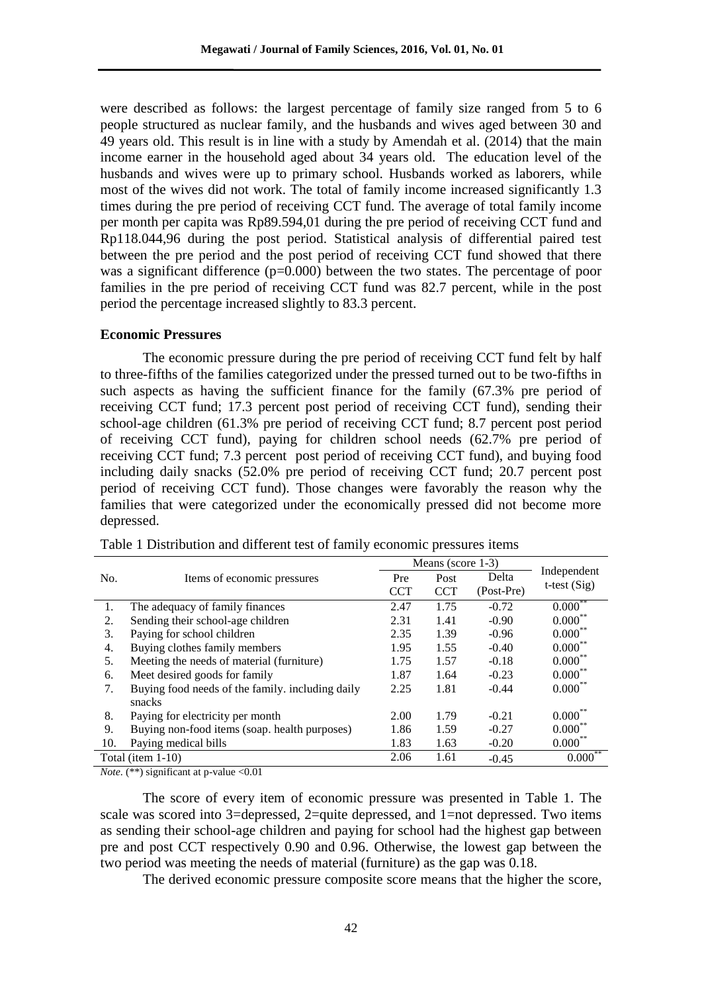were described as follows: the largest percentage of family size ranged from 5 to 6 people structured as nuclear family, and the husbands and wives aged between 30 and 49 years old. This result is in line with a study by Amendah et al. (2014) that the main income earner in the household aged about 34 years old. The education level of the husbands and wives were up to primary school. Husbands worked as laborers, while most of the wives did not work. The total of family income increased significantly 1.3 times during the pre period of receiving CCT fund. The average of total family income per month per capita was Rp89.594,01 during the pre period of receiving CCT fund and Rp118.044,96 during the post period. Statistical analysis of differential paired test between the pre period and the post period of receiving CCT fund showed that there was a significant difference  $(p=0.000)$  between the two states. The percentage of poor families in the pre period of receiving CCT fund was 82.7 percent, while in the post period the percentage increased slightly to 83.3 percent.

### **Economic Pressures**

The economic pressure during the pre period of receiving CCT fund felt by half to three-fifths of the families categorized under the pressed turned out to be two-fifths in such aspects as having the sufficient finance for the family (67.3% pre period of receiving CCT fund; 17.3 percent post period of receiving CCT fund), sending their school-age children (61.3% pre period of receiving CCT fund; 8.7 percent post period of receiving CCT fund), paying for children school needs (62.7% pre period of receiving CCT fund; 7.3 percent post period of receiving CCT fund), and buying food including daily snacks (52.0% pre period of receiving CCT fund; 20.7 percent post period of receiving CCT fund). Those changes were favorably the reason why the families that were categorized under the economically pressed did not become more depressed.

|     |                                                  | Means (score $1-3$ ) |            |            |                       |
|-----|--------------------------------------------------|----------------------|------------|------------|-----------------------|
| No. | Items of economic pressures                      | Pre                  | Post       | Delta      | Independent           |
|     |                                                  | <b>CCT</b>           | <b>CCT</b> | (Post-Pre) | t-test $(Sig)$        |
| 1.  | The adequacy of family finances                  | 2.47                 | 1.75       | $-0.72$    | **<br>$0.000^{\circ}$ |
| 2.  | Sending their school-age children                | 2.31                 | 1.41       | $-0.90$    | $0.000^{\circ}$       |
| 3.  | Paying for school children                       | 2.35                 | 1.39       | $-0.96$    | $0.000***$            |
| 4.  | Buying clothes family members                    | 1.95                 | 1.55       | $-0.40$    | $0.000***$            |
| 5.  | Meeting the needs of material (furniture)        | 1.75                 | 1.57       | $-0.18$    | $0.000***$            |
| 6.  | Meet desired goods for family                    | 1.87                 | 1.64       | $-0.23$    | $0.000***$            |
| 7.  | Buying food needs of the family, including daily | 2.25                 | 1.81       | $-0.44$    | $0.000^{**}$          |
|     | snacks                                           |                      |            |            |                       |
| 8.  | Paying for electricity per month                 | 2.00                 | 1.79       | $-0.21$    | $0.000^{\circ}$       |
| 9.  | Buying non-food items (soap. health purposes)    | 1.86                 | 1.59       | $-0.27$    | $0.000***$            |
| 10. | Paying medical bills                             | 1.83                 | 1.63       | $-0.20$    | $0.000$ **            |
|     | Total (item 1-10)                                | 2.06                 | 1.61       | $-0.45$    | . **<br>0.000         |

Table 1 Distribution and different test of family economic pressures items

*Note*. (\*\*) significant at p-value <0.01

The score of every item of economic pressure was presented in Table 1. The scale was scored into 3=depressed, 2=quite depressed, and 1=not depressed. Two items as sending their school-age children and paying for school had the highest gap between pre and post CCT respectively 0.90 and 0.96. Otherwise, the lowest gap between the two period was meeting the needs of material (furniture) as the gap was 0.18.

The derived economic pressure composite score means that the higher the score,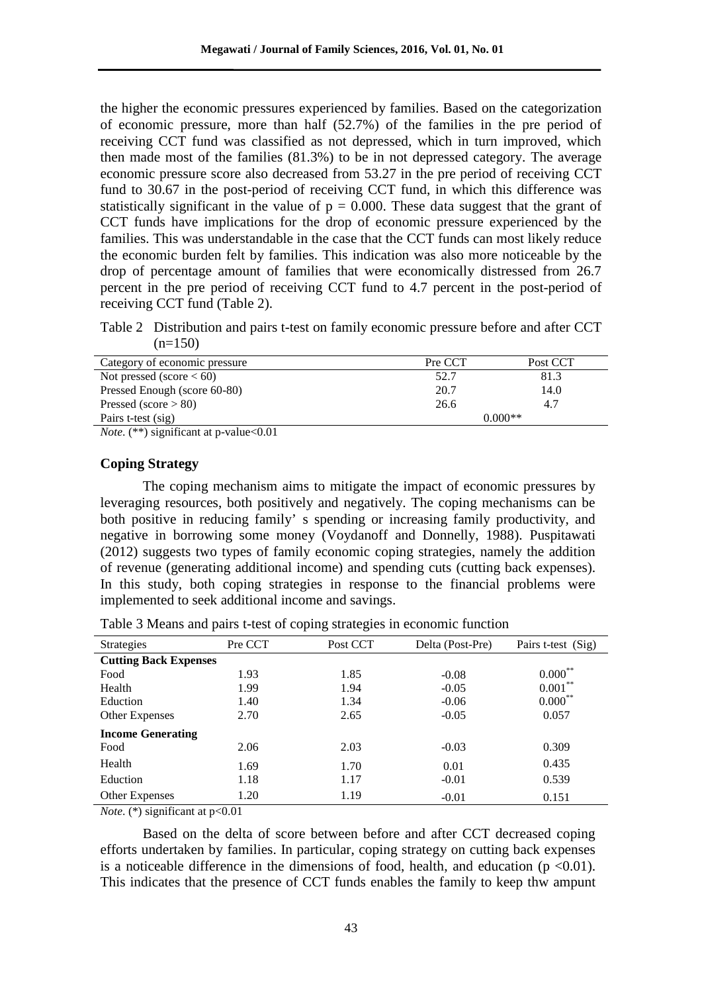the higher the economic pressures experienced by families. Based on the categorization of economic pressure, more than half (52.7%) of the families in the pre period of receiving CCT fund was classified as not depressed, which in turn improved, which then made most of the families (81.3%) to be in not depressed category. The average economic pressure score also decreased from 53.27 in the pre period of receiving CCT fund to 30.67 in the post-period of receiving CCT fund, in which this difference was statistically significant in the value of  $p = 0.000$ . These data suggest that the grant of CCT funds have implications for the drop of economic pressure experienced by the families. This was understandable in the case that the CCT funds can most likely reduce the economic burden felt by families. This indication was also more noticeable by the drop of percentage amount of families that were economically distressed from 26.7 percent in the pre period of receiving CCT fund to 4.7 percent in the post-period of receiving CCT fund (Table 2).

Table 2 Distribution and pairs t-test on family economic pressure before and after CCT  $(n=150)$ 

| Category of economic pressure | Pre CCT | Post CCT  |  |
|-------------------------------|---------|-----------|--|
| Not pressed (score $< 60$ )   | 52.7    | 81.3      |  |
| Pressed Enough (score 60-80)  | 20.7    | 14.0      |  |
| Pressed (score $> 80$ )       | 26.6    | 4.7       |  |
| Pairs t-test (sig)            |         | $0.000**$ |  |
|                               |         |           |  |

*Note*. (\*\*) significant at p-value<0.01

# **Coping Strategy**

The coping mechanism aims to mitigate the impact of economic pressures by leveraging resources, both positively and negatively. The coping mechanisms can be both positive in reducing family' s spending or increasing family productivity, and negative in borrowing some money (Voydanoff and Donnelly, 1988). Puspitawati (2012) suggests two types of family economic coping strategies, namely the addition of revenue (generating additional income) and spending cuts (cutting back expenses). In this study, both coping strategies in response to the financial problems were implemented to seek additional income and savings.

Table 3 Means and pairs t-test of coping strategies in economic function

| <b>Strategies</b>            | Pre CCT | Post CCT | Delta (Post-Pre) | Pairs t-test (Sig) |
|------------------------------|---------|----------|------------------|--------------------|
| <b>Cutting Back Expenses</b> |         |          |                  |                    |
| Food                         | 1.93    | 1.85     | $-0.08$          | $0.000***$         |
| Health                       | 1.99    | 1.94     | $-0.05$          | $0.001***$         |
| Eduction                     | 1.40    | 1.34     | $-0.06$          | $0.000***$         |
| Other Expenses               | 2.70    | 2.65     | $-0.05$          | 0.057              |
| <b>Income Generating</b>     |         |          |                  |                    |
| Food                         | 2.06    | 2.03     | $-0.03$          | 0.309              |
| Health                       | 1.69    | 1.70     | 0.01             | 0.435              |
| Eduction                     | 1.18    | 1.17     | $-0.01$          | 0.539              |
| Other Expenses               | 1.20    | 1.19     | $-0.01$          | 0.151              |

*Note*. (\*) significant at  $p<0.01$ 

Based on the delta of score between before and after CCT decreased coping efforts undertaken by families. In particular, coping strategy on cutting back expenses is a noticeable difference in the dimensions of food, health, and education ( $p \le 0.01$ ). This indicates that the presence of CCT funds enables the family to keep thw ampunt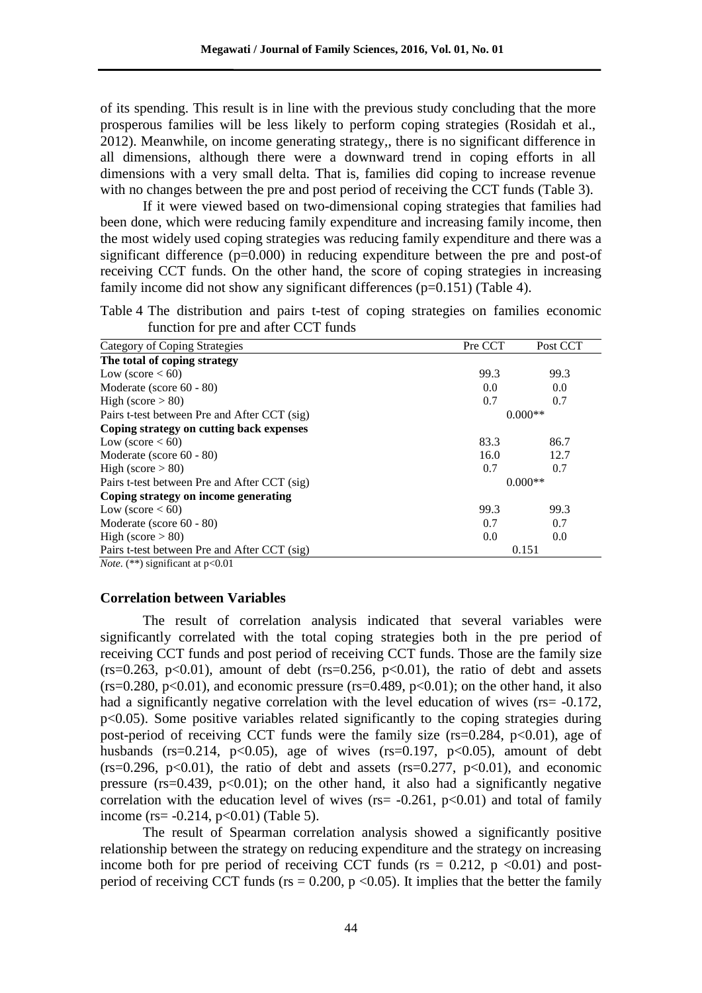of its spending. This result is in line with the previous study concluding that the more prosperous families will be less likely to perform coping strategies (Rosidah et al., 2012). Meanwhile, on income generating strategy,, there is no significant difference in all dimensions, although there were a downward trend in coping efforts in all dimensions with a very small delta. That is, families did coping to increase revenue with no changes between the pre and post period of receiving the CCT funds (Table 3).

If it were viewed based on two-dimensional coping strategies that families had been done, which were reducing family expenditure and increasing family income, then the most widely used coping strategies was reducing family expenditure and there was a significant difference  $(p=0.000)$  in reducing expenditure between the pre and post-of receiving CCT funds. On the other hand, the score of coping strategies in increasing family income did not show any significant differences  $(p=0.151)$  (Table 4).

Table 4 The distribution and pairs t-test of coping strategies on families economic function for pre and after CCT funds

| Category of Coping Strategies                | Pre CCT   | Post CCT |
|----------------------------------------------|-----------|----------|
| The total of coping strategy                 |           |          |
| Low (score $< 60$ )                          | 99.3      | 99.3     |
| Moderate (score $60 - 80$ )                  | 0.0       | 0.0      |
| High (score $> 80$ )                         | 0.7       | 0.7      |
| Pairs t-test between Pre and After CCT (sig) | $0.000**$ |          |
| Coping strategy on cutting back expenses     |           |          |
| Low (score $< 60$ )                          | 83.3      | 86.7     |
| Moderate (score $60 - 80$ )                  | 16.0      | 12.7     |
| High (score $> 80$ )                         | 0.7       | 0.7      |
| Pairs t-test between Pre and After CCT (sig) | $0.000**$ |          |
| Coping strategy on income generating         |           |          |
| Low (score $< 60$ )                          | 99.3      | 99.3     |
| Moderate (score 60 - 80)                     | 0.7       | 0.7      |
| High (score $> 80$ )                         | 0.0       | 0.0      |
| Pairs t-test between Pre and After CCT (sig) | 0.151     |          |
| <i>Note.</i> (**) significant at $p<0.01$    |           |          |

## **Correlation between Variables**

The result of correlation analysis indicated that several variables were significantly correlated with the total coping strategies both in the pre period of receiving CCT funds and post period of receiving CCT funds. Those are the family size  $(rs=0.263, p<0.01)$ , amount of debt  $(rs=0.256, p<0.01)$ , the ratio of debt and assets  $(rs=0.280, p<0.01)$ , and economic pressure  $(rs=0.489, p<0.01)$ ; on the other hand, it also had a significantly negative correlation with the level education of wives (rs= -0.172, p<0.05). Some positive variables related significantly to the coping strategies during post-period of receiving CCT funds were the family size  $(rs=0.284, p<0.01)$ , age of husbands (rs=0.214,  $p<0.05$ ), age of wives (rs=0.197,  $p<0.05$ ), amount of debt  $(rs=0.296, p<0.01)$ , the ratio of debt and assets  $(rs=0.277, p<0.01)$ , and economic pressure ( $rs=0.439$ ,  $p<0.01$ ); on the other hand, it also had a significantly negative correlation with the education level of wives ( $rs = -0.261$ ,  $p < 0.01$ ) and total of family income (rs= $-0.214$ , p<0.01) (Table 5).

The result of Spearman correlation analysis showed a significantly positive relationship between the strategy on reducing expenditure and the strategy on increasing income both for pre period of receiving CCT funds ( $rs = 0.212$ ,  $p \le 0.01$ ) and postperiod of receiving CCT funds ( $rs = 0.200$ ,  $p \le 0.05$ ). It implies that the better the family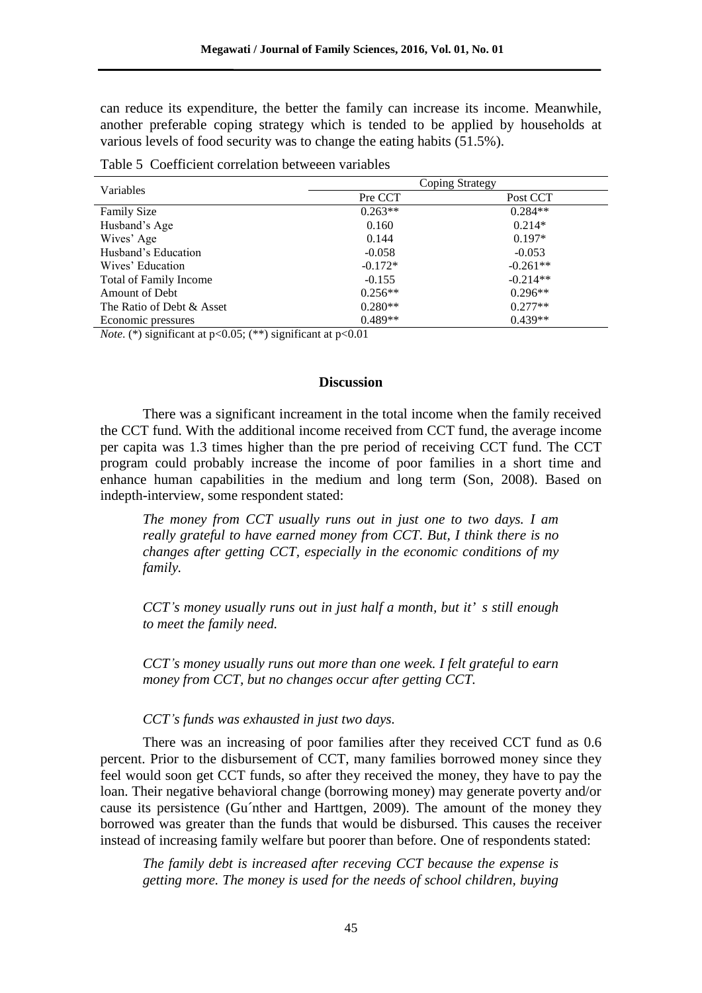can reduce its expenditure, the better the family can increase its income. Meanwhile, another preferable coping strategy which is tended to be applied by households at various levels of food security was to change the eating habits (51.5%).

| Variables                     | Coping Strategy |            |  |  |
|-------------------------------|-----------------|------------|--|--|
|                               | Pre CCT         | Post CCT   |  |  |
| <b>Family Size</b>            | $0.263**$       | $0.284**$  |  |  |
| Husband's Age                 | 0.160           | $0.214*$   |  |  |
| Wives' Age                    | 0.144           | $0.197*$   |  |  |
| Husband's Education           | $-0.058$        | $-0.053$   |  |  |
| Wives' Education              | $-0.172*$       | $-0.261**$ |  |  |
| <b>Total of Family Income</b> | $-0.155$        | $-0.214**$ |  |  |
| Amount of Debt                | $0.256**$       | $0.296**$  |  |  |
| The Ratio of Debt & Asset     | $0.280**$       | $0.277**$  |  |  |
| Economic pressures            | $0.489**$       | $0.439**$  |  |  |

Table 5 Coefficient correlation betweeen variables

*Note*. (\*) significant at  $p<0.05$ ; (\*\*) significant at  $p<0.01$ 

# **Discussion**

There was a significant increament in the total income when the family received the CCT fund. With the additional income received from CCT fund, the average income per capita was 1.3 times higher than the pre period of receiving CCT fund. The CCT program could probably increase the income of poor families in a short time and enhance human capabilities in the medium and long term (Son, 2008). Based on indepth-interview, some respondent stated:

*The money from CCT usually runs out in just one to two days. I am really grateful to have earned money from CCT. But, I think there is no changes after getting CCT, especially in the economic conditions of my family.*

*CCT's money usually runs out in just half a month, but it' s still enough to meet the family need.*

*CCT's money usually runs out more than one week. I felt grateful to earn money from CCT, but no changes occur after getting CCT.*

# *CCT's funds was exhausted in just two days.*

There was an increasing of poor families after they received CCT fund as 0.6 percent. Prior to the disbursement of CCT, many families borrowed money since they feel would soon get CCT funds, so after they received the money, they have to pay the loan. Their negative behavioral change (borrowing money) may generate poverty and/or cause its persistence (Gu´nther and Harttgen, 2009). The amount of the money they borrowed was greater than the funds that would be disbursed. This causes the receiver instead of increasing family welfare but poorer than before. One of respondents stated:

*The family debt is increased after receving CCT because the expense is getting more. The money is used for the needs of school children, buying*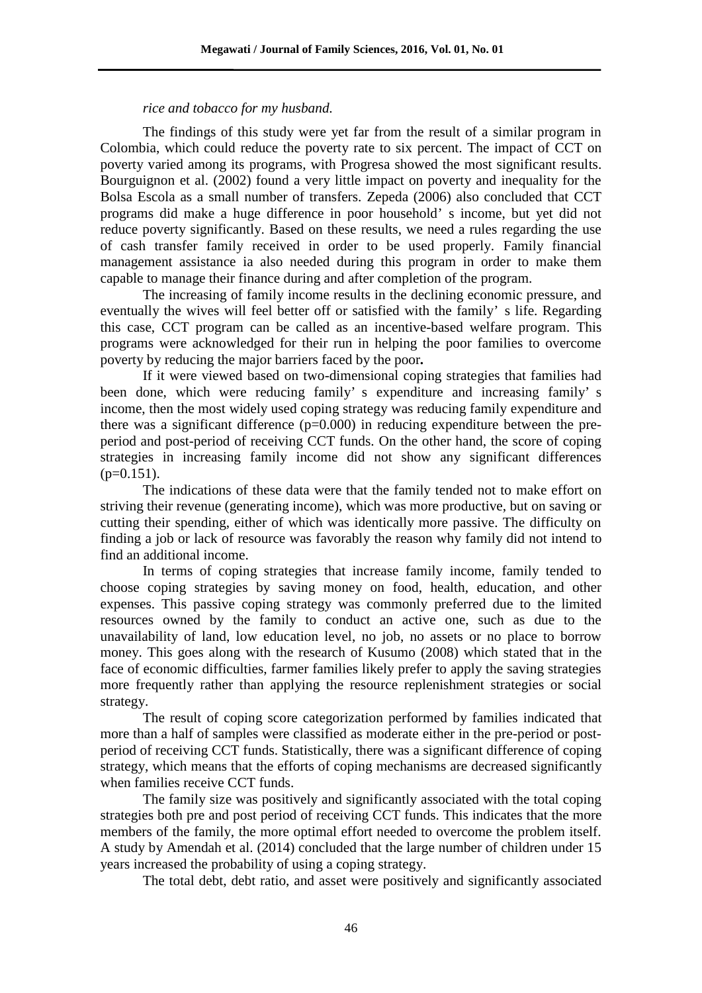# *rice and tobacco for my husband.*

The findings of this study were yet far from the result of a similar program in Colombia, which could reduce the poverty rate to six percent. The impact of CCT on poverty varied among its programs, with Progresa showed the most significant results. Bourguignon et al. (2002) found a very little impact on poverty and inequality for the Bolsa Escola as a small number of transfers. Zepeda (2006) also concluded that CCT programs did make a huge difference in poor household' s income, but yet did not reduce poverty significantly. Based on these results, we need a rules regarding the use of cash transfer family received in order to be used properly. Family financial management assistance ia also needed during this program in order to make them capable to manage their finance during and after completion of the program.

The increasing of family income results in the declining economic pressure, and eventually the wives will feel better off or satisfied with the family' s life. Regarding this case, CCT program can be called as an incentive-based welfare program. This programs were acknowledged for their run in helping the poor families to overcome poverty by reducing the major barriers faced by the poor*.*

If it were viewed based on two-dimensional coping strategies that families had been done, which were reducing family' s expenditure and increasing family' s income, then the most widely used coping strategy was reducing family expenditure and there was a significant difference (p=0.000) in reducing expenditure between the preperiod and post-period of receiving CCT funds. On the other hand, the score of coping strategies in increasing family income did not show any significant differences  $(p=0.151)$ .

The indications of these data were that the family tended not to make effort on striving their revenue (generating income), which was more productive, but on saving or cutting their spending, either of which was identically more passive. The difficulty on finding a job or lack of resource was favorably the reason why family did not intend to find an additional income.

In terms of coping strategies that increase family income, family tended to choose coping strategies by saving money on food, health, education, and other expenses. This passive coping strategy was commonly preferred due to the limited resources owned by the family to conduct an active one, such as due to the unavailability of land, low education level, no job, no assets or no place to borrow money. This goes along with the research of Kusumo (2008) which stated that in the face of economic difficulties, farmer families likely prefer to apply the saving strategies more frequently rather than applying the resource replenishment strategies or social strategy.

The result of coping score categorization performed by families indicated that more than a half of samples were classified as moderate either in the pre-period or postperiod of receiving CCT funds. Statistically, there was a significant difference of coping strategy, which means that the efforts of coping mechanisms are decreased significantly when families receive CCT funds.

The family size was positively and significantly associated with the total coping strategies both pre and post period of receiving CCT funds. This indicates that the more members of the family, the more optimal effort needed to overcome the problem itself. A study by Amendah et al. (2014) concluded that the large number of children under 15 years increased the probability of using a coping strategy.

The total debt, debt ratio, and asset were positively and significantly associated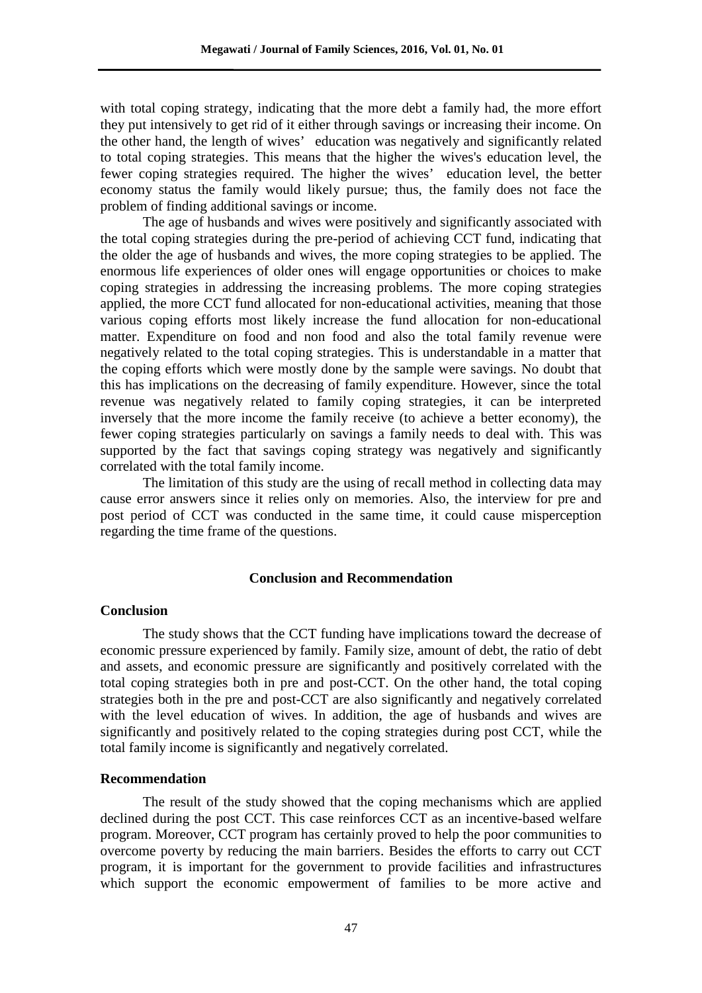with total coping strategy, indicating that the more debt a family had, the more effort they put intensively to get rid of it either through savings or increasing their income. On the other hand, the length of wives' education was negatively and significantly related to total coping strategies. This means that the higher the wives's education level, the fewer coping strategies required. The higher the wives' education level, the better economy status the family would likely pursue; thus, the family does not face the problem of finding additional savings or income.

The age of husbands and wives were positively and significantly associated with the total coping strategies during the pre-period of achieving CCT fund, indicating that the older the age of husbands and wives, the more coping strategies to be applied. The enormous life experiences of older ones will engage opportunities or choices to make coping strategies in addressing the increasing problems. The more coping strategies applied, the more CCT fund allocated for non-educational activities, meaning that those various coping efforts most likely increase the fund allocation for non-educational matter. Expenditure on food and non food and also the total family revenue were negatively related to the total coping strategies. This is understandable in a matter that the coping efforts which were mostly done by the sample were savings. No doubt that this has implications on the decreasing of family expenditure. However, since the total revenue was negatively related to family coping strategies, it can be interpreted inversely that the more income the family receive (to achieve a better economy), the fewer coping strategies particularly on savings a family needs to deal with. This was supported by the fact that savings coping strategy was negatively and significantly correlated with the total family income.

The limitation of this study are the using of recall method in collecting data may cause error answers since it relies only on memories. Also, the interview for pre and post period of CCT was conducted in the same time, it could cause misperception regarding the time frame of the questions.

# **Conclusion and Recommendation**

### **Conclusion**

The study shows that the CCT funding have implications toward the decrease of economic pressure experienced by family. Family size, amount of debt, the ratio of debt and assets, and economic pressure are significantly and positively correlated with the total coping strategies both in pre and post-CCT. On the other hand, the total coping strategies both in the pre and post-CCT are also significantly and negatively correlated with the level education of wives. In addition, the age of husbands and wives are significantly and positively related to the coping strategies during post CCT, while the total family income is significantly and negatively correlated.

#### **Recommendation**

The result of the study showed that the coping mechanisms which are applied declined during the post CCT. This case reinforces CCT as an incentive-based welfare program. Moreover, CCT program has certainly proved to help the poor communities to overcome poverty by reducing the main barriers. Besides the efforts to carry out CCT program, it is important for the government to provide facilities and infrastructures which support the economic empowerment of families to be more active and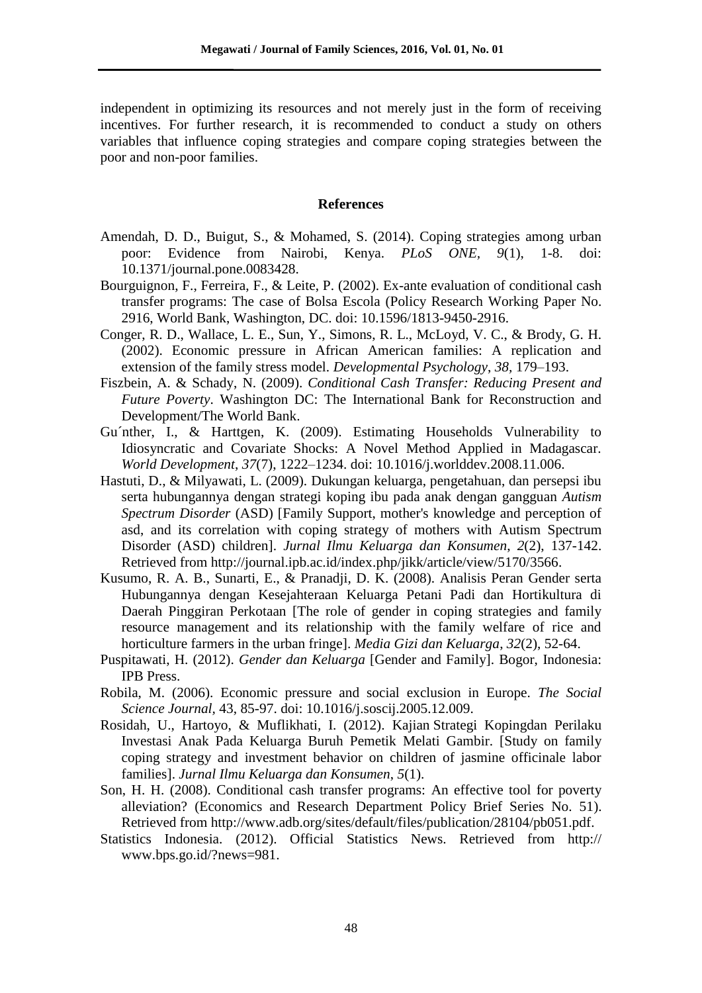independent in optimizing its resources and not merely just in the form of receiving incentives. For further research, it is recommended to conduct a study on others variables that influence coping strategies and compare coping strategies between the poor and non-poor families.

## **References**

- Amendah, D. D., Buigut, S., & Mohamed, S. (2014). Coping strategies among urban poor: Evidence from Nairobi, Kenya. *PLoS ONE, 9*(1), 1-8. doi: 10.1371/journal.pone.0083428.
- Bourguignon, F., Ferreira, F., & Leite, P. (2002). Ex-ante evaluation of conditional cash transfer programs: The case of Bolsa Escola (Policy Research Working Paper No. 2916, World Bank, Washington, DC. doi: 10.1596/1813-9450-2916.
- Conger, R. D., Wallace, L. E., Sun, Y., Simons, R. L., McLoyd, V. C., & Brody, G. H. (2002). Economic pressure in African American families: A replication and extension of the family stress model. *Developmental Psychology*, *38,* 179–193.
- Fiszbein, A. & Schady, N. (2009). *Conditional Cash Transfer: Reducing Present and Future Poverty*. Washington DC: The International Bank for Reconstruction and Development/The World Bank.
- Gu´nther, I., & Harttgen, K. (2009). Estimating Households Vulnerability to Idiosyncratic and Covariate Shocks: A Novel Method Applied in Madagascar. *World Development*, *37*(7), 1222–1234. doi: 10.1016/j.worlddev.2008.11.006.
- Hastuti, D., & Milyawati, L. (2009). Dukungan keluarga, pengetahuan, dan persepsi ibu serta hubungannya dengan strategi koping ibu pada anak dengan gangguan *Autism Spectrum Disorder* (ASD) [Family Support, mother's knowledge and perception of asd, and its correlation with coping strategy of mothers with Autism Spectrum Disorder (ASD) children]. *Jurnal Ilmu Keluarga dan Konsumen*, *2*(2), 137-142. Retrieved from http://journal.ipb.ac.id/index.php/jikk/article/view/5170/3566.
- Kusumo, R. A. B., Sunarti, E., & Pranadji, D. K. (2008). Analisis Peran Gender serta Hubungannya dengan Kesejahteraan Keluarga Petani Padi dan Hortikultura di Daerah Pinggiran Perkotaan [The role of gender in coping strategies and family resource management and its relationship with the family welfare of rice and horticulture farmers in the urban fringe]. *Media Gizi dan Keluarga*, *32*(2), 52-64.
- Puspitawati, H. (2012). *Gender dan Keluarga* [Gender and Family]. Bogor, Indonesia: IPB Press.
- Robila, M. (2006). Economic pressure and social exclusion in Europe. *The Social Science Journal,* 43, 85-97. doi: 10.1016/j.soscij.2005.12.009.
- Rosidah, U., Hartoyo, & Muflikhati, I. (2012). Kajian Strategi Kopingdan Perilaku Investasi Anak Pada Keluarga Buruh Pemetik Melati Gambir. [Study on family coping strategy and investment behavior on children of jasmine officinale labor families]. *Jurnal Ilmu Keluarga dan Konsumen*, *5*(1).
- Son, H. H. (2008). Conditional cash transfer programs: An effective tool for poverty alleviation? (Economics and Research Department Policy Brief Series No. 51). Retrieved from http://www.adb.org/sites/default/files/publication/28104/pb051.pdf.
- Statistics Indonesia. (2012). Official Statistics News. Retrieved from http:// www.bps.go.id/?news=981.